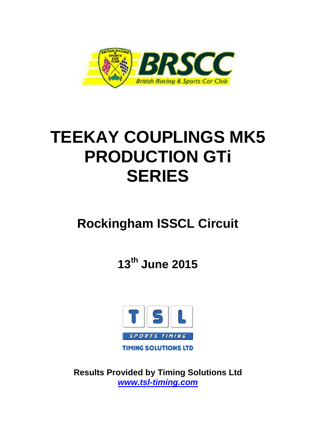

# **TEEKAY COUPLINGS MK5 PRODUCTION GTi SERIES**

## **Rockingham ISSCL Circuit**

**13th June 2015**



**Results Provided by Timing Solutions Ltd** *www.tsl-timing.com*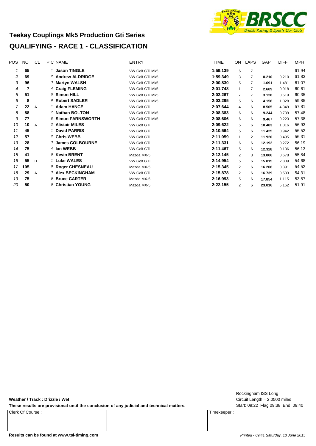#### **Teekay Couplings Mk5 Production Gti Series QUALIFYING - RACE 1 - CLASSIFICATION**



| <b>POS</b> | <b>NO</b> | CL.            | PIC NAME                     | <b>ENTRY</b>       | TIME     | ON.            | LAPS           | GAP    | <b>DIFF</b> | MPH   |
|------------|-----------|----------------|------------------------------|--------------------|----------|----------------|----------------|--------|-------------|-------|
| 1          | 65        |                | 1 Jason TINGLE               | VW Golf GTi Mk5    | 1:59.139 | 6              | $\overline{7}$ |        |             | 61.94 |
| 2          | 69        |                | <sup>2</sup> Andrew ALDRIDGE | VW Golf GTi Mk5    | 1:59.349 | 3              | 7              | 0.210  | 0.210       | 61.83 |
| 3          | 96        |                | 3 Martyn WALSH               | VW Golf GTi Mk5    | 2:00.830 | 5              | 7              | 1.691  | 1.481       | 61.07 |
| 4          | 7         |                | 4 Craig FLEMING              | VW Golf GTi Mk5    | 2:01.748 | $\mathbf{1}$   |                | 2.609  | 0.918       | 60.61 |
| 5          | 51        |                | <sup>5</sup> Simon HILL      | VW Golf GTi Mk5    | 2:02.267 | $\overline{7}$ |                | 3.128  | 0.519       | 60.35 |
| 6          | 8         |                | 6 Robert SADLER              | VW Golf GTi Mk5    | 2:03.295 | 5              | 6              | 4.156  | 1.028       | 59.85 |
| 7          | 22        | $\overline{A}$ | 1 Adam HANCE                 | VW Golf GTi        | 2:07.644 | 4              | 6              | 8.505  | 4.349       | 57.81 |
| 8          | 88        |                | 7 Nathan BOLTON              | VW Golf GTi Mk5    | 2:08.383 | 6              | 6              | 9.244  | 0.739       | 57.48 |
| 9          | 77        |                | 8 Simon FARNSWORTH           | VW Golf GTi Mk5    | 2:08.606 | 6              | 6              | 9.467  | 0.223       | 57.38 |
| 10         | 10        | $\overline{A}$ | <sup>2</sup> Alistair MILES  | <b>VW Golf GTi</b> | 2:09.622 | 5              | 6              | 10.483 | 1.016       | 56.93 |
| 11         | 45        |                | 1 David PARRIS               | <b>VW Golf GTi</b> | 2:10.564 | 5              | 6              | 11.425 | 0.942       | 56.52 |
| 12         | 57        |                | <sup>2</sup> Chris WEBB      | VW Golf GTi        | 2:11.059 | 1              | 2              | 11.920 | 0.495       | 56.31 |
| 13         | 28        |                | 3 James COLBOURNE            | <b>VW Golf GTi</b> | 2:11.331 | 6              | 6              | 12.192 | 0.272       | 56.19 |
| 14         | 75        |                | 4 Ian WEBB                   | VW Golf GTi        | 2:11.467 | 5              | 6              | 12.328 | 0.136       | 56.13 |
| 15         | 41        |                | $0$ Kevin BRENT              | Mazda MX-5         | 2:12.145 | $\overline{2}$ | 3              | 13.006 | 0.678       | 55.84 |
| 16         | 55        | B              | <sup>1</sup> Luke WALES      | <b>VW Golf GTI</b> | 2:14.954 | 5              | 6              | 15.815 | 2.809       | 54.68 |
| 17         | 105       |                | $0$ Roger CHESNEAU           | Mazda MX-5         | 2:15.345 | 2              | 6              | 16.206 | 0.391       | 54.52 |
| 18         | 29        | A              | <b>3 Alex BECKINGHAM</b>     | <b>VW Golf GTi</b> | 2:15.878 | $\overline{2}$ | 6              | 16.739 | 0.533       | 54.31 |
| 19         | 75        |                | 0 Bruce CARTER               | Mazda MX-5         | 2:16.993 | 5              | 6              | 17.854 | 1.115       | 53.87 |
| 20         | 50        |                | 0 Christian YOUNG            | Mazda MX-5         | 2:22.155 | 2              | 6              | 23.016 | 5.162       | 51.91 |

**Weather / Track : Drizzle / Wet**

These results are provisional until the conclusion of any judicial and technical matters. Start: 09:22 Flag 09:38 End: 09:40

Clerk Of Course : Timekeeper :

Circuit Length = 2.0500 miles Rockingham ISS Long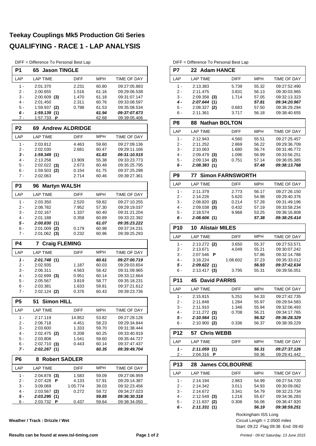#### **Teekay Couplings Mk5 Production Gti Series QUALIFYING - RACE 1 - LAP ANALYSIS**

DIFF - Difference To Personal Best La

|                | DIFF = Difference To Personal Best Lap |                        |       |                            |  |  |  |  |  |
|----------------|----------------------------------------|------------------------|-------|----------------------------|--|--|--|--|--|
| P1             | 65<br><b>Jason TINGLE</b>              |                        |       |                            |  |  |  |  |  |
| LAP            | <b>LAP TIME</b>                        | DIFF                   | MPH   | TIME OF DAY                |  |  |  |  |  |
| $1 -$          | 2:01.370                               | 2.231                  | 60.80 | 09:27:05.883               |  |  |  |  |  |
| 2 -            | 2:00.655                               | 1.516                  | 61.16 | 09:29:06.538               |  |  |  |  |  |
| 3 -            | $2:00.609$ (3)                         | 1.470                  | 61.18 | 09:31:07.147               |  |  |  |  |  |
| 4 -            | 2:01.450                               | 2.311                  | 60.76 | 09:33:08.597               |  |  |  |  |  |
| 5 -            | 1:59.937 (2)                           | 0.798                  | 61.53 | 09:35:08.534               |  |  |  |  |  |
| 6 -            | 1:59.139(1)                            |                        | 61.94 | 09:37:07.673               |  |  |  |  |  |
| 7 -            | 1:57.733 <b>P</b>                      |                        | 62.68 | 09:39:05.406               |  |  |  |  |  |
| P <sub>2</sub> | 69                                     | <b>Andrew ALDRIDGE</b> |       |                            |  |  |  |  |  |
| LAP            | <b>LAP TIME</b>                        | <b>DIFF</b>            | MPH   | TIME OF DAY                |  |  |  |  |  |
| 1 -            | 2:03.812                               | 4.463                  | 59.60 | 09:27:09.136               |  |  |  |  |  |
| 2 -            | 2:02.030                               | 2.681                  | 60.47 | 09:29:11.166               |  |  |  |  |  |
| 3 -            | 1:59.349(1)                            |                        | 61.83 | 09:31:10.515               |  |  |  |  |  |
| 4 -            | 2:13.258                               | 13.909                 | 55.38 | 09:33:23.773               |  |  |  |  |  |
| 5 -            | $2:02.022$ (3)                         | 2.673                  | 60.48 | 09:35:25.795               |  |  |  |  |  |
| 6 -            | $1:59.503$ (2)                         | 0.154                  | 61.75 | 09:37:25.298               |  |  |  |  |  |
| 7 -            | 2:02.063                               | 2.714                  | 60.46 | 09:39:27.361               |  |  |  |  |  |
| P <sub>3</sub> | <b>Martyn WALSH</b><br>96              |                        |       |                            |  |  |  |  |  |
| LAP            | <b>LAP TIME</b>                        | <b>DIFF</b>            | MPH   | <b>TIME OF DAY</b>         |  |  |  |  |  |
| 1 -            | 2:03.350                               | 2.520                  | 59.82 | 09:27:10.255               |  |  |  |  |  |
| $2 -$          | 2:08.782                               | 7.952                  | 57.30 | 09:29:19.037               |  |  |  |  |  |
| 3 -            | 2:02.167                               | 1.337                  | 60.40 | 09:31:21.204               |  |  |  |  |  |
| $4 -$          | 2:01.188                               | 0.358                  | 60.89 | 09:33:22.392               |  |  |  |  |  |
| 5 -            | 2:00.830(1)                            |                        | 61.07 | 09:35:23.222               |  |  |  |  |  |
| 6 -            | $2:01.009$ (2)                         | 0.179                  | 60.98 | 09:37:24.231               |  |  |  |  |  |
| 7 -            | $2:01.062$ (3)                         | 0.232                  | 60.96 | 09:39:25.293               |  |  |  |  |  |
| <b>P4</b>      | <b>Craig FLEMING</b><br>7              |                        |       |                            |  |  |  |  |  |
| LAP            | <b>LAP TIME</b>                        | <b>DIFF</b>            | MPH   | TIME OF DAY                |  |  |  |  |  |
| $1 -$          | 2:01.748(1)                            |                        | 60.61 | 09:27:00.719               |  |  |  |  |  |
| 2 -            | 2:02.935                               | 1.187                  | 60.03 | 09:29:03.654               |  |  |  |  |  |
| 3 -            | 2:06.311                               | 4.563                  | 58.42 | 09:31:09.965               |  |  |  |  |  |
| $4 -$          | $2:02.699$ (3)                         | 0.951                  | 60.14 | 09:33:12.664               |  |  |  |  |  |
| 5 -            | 2:05.567                               | 3.819                  | 58.77 | 09:35:18.231               |  |  |  |  |  |
| 6 -            | 2:03.381                               | 1.633                  | 59.81 | 09:37:21.612               |  |  |  |  |  |
| 7 -            | 2:02.124 (2)                           | 0.376                  | 60.43 | 09:39:23.736               |  |  |  |  |  |
| Р5             | 51<br><b>Simon HILL</b>                |                        |       |                            |  |  |  |  |  |
|                |                                        |                        |       |                            |  |  |  |  |  |
| LAP            | <b>LAP TIME</b>                        | DIFF                   | MPH   | TIME OF DAY                |  |  |  |  |  |
| $1 -$          | 2:17.119                               | 14.852                 | 53.82 | 09:27:28.126               |  |  |  |  |  |
| 2 -            | 2:06.718                               | 4.451                  | 58.23 | 09:29:34.844               |  |  |  |  |  |
| 3 -            | 2:03.600                               | 1.333                  | 59.70 | 09:31:38.444               |  |  |  |  |  |
| 4 -            | $2:02.475$ (2)                         | 0.208                  | 60.25 | 09:33:40.919               |  |  |  |  |  |
| 5 -            | 2:03.808                               | 1.541                  | 59.60 | 09:35:44.727               |  |  |  |  |  |
| 6 -            | $2:02.710$ (3)                         | 0.443                  | 60.14 | 09:37:47.437               |  |  |  |  |  |
| 7 -            | 2:02.267 (1)                           |                        | 60.35 | <i><b>09:39:49.704</b></i> |  |  |  |  |  |
| P6             | <b>Robert SADLER</b><br>8              |                        |       |                            |  |  |  |  |  |
| LAP            | <b>LAP TIME</b>                        | <b>DIFF</b>            | MPH   | <b>TIME OF DAY</b>         |  |  |  |  |  |
| 1 -            | 2:04.878 (3)                           | 1.583                  | 59.09 | 09:27:06.959               |  |  |  |  |  |
| 2 -            | 2:07.428<br>P                          | 4.133                  | 57.91 | 09:29:14.387               |  |  |  |  |  |
| 3 -            | 3:09.069                               | 1:05.774               | 39.03 | 09:32:23.456               |  |  |  |  |  |
| 4 -            | $2:03.567$ (2)                         | 0.272                  | 59.72 | 09:34:27.023               |  |  |  |  |  |
| 5 -            | 2:03.295 (1)                           |                        | 59.85 | 09:36:30.318               |  |  |  |  |  |

**Weather / Track : Drizzle / Wet**

DIFF = Difference To Personal Best Lap

| P7             | $D_{\text{H}}$ $\vdash$ $=$ $D_{\text{H}}$ elerge to $\vdash$ ersonal best Lap<br>22 Adam HANCE |                         |                                 |                              |
|----------------|-------------------------------------------------------------------------------------------------|-------------------------|---------------------------------|------------------------------|
| LAP            | <b>LAP TIME</b>                                                                                 | <b>DIFF</b>             | <b>MPH</b>                      | TIME OF DAY                  |
| $1 -$          |                                                                                                 | 5.739                   | 55.32                           |                              |
| $2 -$          | 2:13.383<br>2:11.475                                                                            | 3.831                   | 56.13                           | 09:27:52.490<br>09:30:03.965 |
| 3 -            | $2:09.358$ (3)                                                                                  | 1.714                   | 57.05                           | 09:32:13.323                 |
| $4 -$          | 2:07.644(1)                                                                                     |                         | 57.81                           | 09:34:20.967                 |
| 5 -            | $2:08.327$ (2)                                                                                  | 0.683                   | 57.50                           | 09:36:29.294                 |
| 6 -            | 2:11.361                                                                                        | 3.717                   | 56.18                           | 09:38:40.655                 |
| P <sub>8</sub> | <b>Nathan BOLTON</b><br>88                                                                      |                         |                                 |                              |
| LAP            | <b>LAP TIME</b>                                                                                 | <b>DIFF</b>             | MPH                             | <b>TIME OF DAY</b>           |
| $1 -$          | 2:12.943                                                                                        | 4.560                   | 55.51                           | 09:27:25.457                 |
| $2 -$          | 2:11.252                                                                                        | 2.869                   | 56.22                           | 09:29:36.709                 |
| $3 -$          | 2:10.063                                                                                        | 1.680                   | 56.74                           | 09:31:46.772                 |
| $4 -$          | $2:09.479$ (3)                                                                                  | 1.096                   | 56.99                           | 09:33:56.251                 |
| 5 -            | $2:09.134$ (2)                                                                                  | 0.751                   | 57.14                           | 09:36:05.385                 |
| 6 -            | 2:08.383 (1)                                                                                    |                         | 57.48                           | 09:38:13.768                 |
| P <sub>9</sub> | 77                                                                                              | <b>Simon FARNSWORTH</b> |                                 |                              |
| LAP            | <b>LAP TIME</b>                                                                                 | <b>DIFF</b>             | <b>MPH</b>                      | <b>TIME OF DAY</b>           |
| $1 -$          | 2:11.379                                                                                        | 2.773                   | 56.17                           | 09:27:26.150                 |
| $2 -$          | 2:14.226                                                                                        | 5.620                   | 54.98                           | 09:29:40.376                 |
| 3 -            | 2:08.820 (2)                                                                                    | 0.214                   | 57.28                           | 09:31:49.196                 |
| $4 -$          | $2:09.038$ (3)                                                                                  | 0.432                   | 57.19                           | 09:33:58.234                 |
| 5 -            | 2:18.574                                                                                        | 9.968                   | 53.25                           | 09:36:16.808                 |
| 6 -            | 2:08.606(1)                                                                                     |                         | 57.38                           | 09:38:25.414                 |
| <b>P10</b>     | <b>10 Alistair MILES</b>                                                                        |                         |                                 |                              |
| LAP            | <b>LAP TIME</b>                                                                                 | <b>DIFF</b>             | <b>MPH</b>                      | <b>TIME OF DAY</b>           |
| $1 -$          | $2:13.272$ (2)                                                                                  | 3.650                   | 55.37                           | 09:27:53.571                 |
| $2-$           | 2:13.671                                                                                        | 4.049                   | 55.21                           | 09:30:07.242                 |
| $3 -$          | 2:07.546<br>Р                                                                                   |                         | 57.86                           | 09:32:14.788                 |
| 4 -            | 3:18.224                                                                                        | 1:08.602                | 37.23                           | 09:35:33.012                 |
| 5 -<br>6 -     | 2:09.622 (1)<br>$2:13.417$ (3)                                                                  | 3.795                   | 56.93<br>55.31                  | 09:37:42.634<br>09:39:56.051 |
|                |                                                                                                 |                         |                                 |                              |
| <b>P11</b>     | <b>David PARRIS</b><br>45                                                                       |                         |                                 |                              |
| LAP            | <b>LAP TIME</b>                                                                                 | <b>DIFF</b>             | <b>MPH</b>                      | TIME OF DAY                  |
| 1 -            | 2:15.815                                                                                        | 5.251                   | 54.33                           | 09:27:42.735                 |
| 2 -            | 2:11.848                                                                                        | 1.284                   | 55.97                           | 09:29:54.583                 |
| 3 -            | 2:11.910                                                                                        | 1.346                   | 55.94                           | 09:32:06.493                 |
| $4 -$          | $2:11.272$ (3)                                                                                  | 0.708                   | 56.21                           | 09:34:17.765<br>09:36:28.329 |
| 5 -<br>$6 -$   | 2:10.564(1)<br>$2:10.900$ (2)                                                                   | 0.336                   | 56.52<br>56.37                  | 09:38:39.229                 |
| <b>P12</b>     | <b>Chris WEBB</b><br>57                                                                         |                         |                                 |                              |
| LAP            | <b>LAP TIME</b>                                                                                 | <b>DIFF</b>             | <b>MPH</b>                      | TIME OF DAY                  |
| 1 -            | 2:11.059(1)                                                                                     |                         | 56.31                           | 09:27:37.126                 |
| 2 -            | 2:04.316 <b>P</b>                                                                               |                         | 59.36                           | 09:29:41.442                 |
| <b>P13</b>     | <b>28 James COLBOURNE</b>                                                                       |                         |                                 |                              |
| LAP            | <b>LAP TIME</b>                                                                                 | DIFF                    | MPH                             | TIME OF DAY                  |
| $1 -$          | 2:14.194                                                                                        | 2.863                   | 54.99                           | 09:27:54.720                 |
| 2 -            | 2:14.342                                                                                        | 3.011                   | 54.93                           | 09:30:09.062                 |
| 3 -            | 2:14.672                                                                                        | 3.341                   | 54.79                           | 09:32:23.734                 |
| 4 -            | $2:12.549$ (3)                                                                                  | 1.218                   | 55.67                           | 09:34:36.283                 |
| $5 -$          | 2:11.637(2)                                                                                     | 0.306                   | 56.06                           | 09:36:47.920                 |
| 6 -            | 2:11.331(1)                                                                                     |                         | 56.19                           | 09:38:59.251                 |
|                |                                                                                                 |                         | Rockingham ISS Long             |                              |
|                |                                                                                                 |                         | Circuit Length = $2,0500$ miles |                              |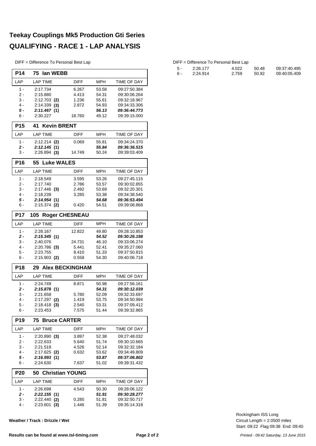#### **Teekay Couplings Mk5 Production Gti Series QUALIFYING - RACE 1 - LAP ANALYSIS**

DIFF = Difference To Personal Best Lap

| <b>P14</b>      | 75<br>lan WEBB                |                |                |                              |  |  |  |  |  |  |
|-----------------|-------------------------------|----------------|----------------|------------------------------|--|--|--|--|--|--|
| LAP             | <b>LAP TIME</b>               | <b>DIFF</b>    | <b>MPH</b>     | TIME OF DAY                  |  |  |  |  |  |  |
| $1 -$           | 2:17.734                      | 6.267          | 53.58          | 09:27:50.384                 |  |  |  |  |  |  |
| 2 -             | 2:15.880                      | 4.413          | 54.31          | 09:30:06.264                 |  |  |  |  |  |  |
| 3 -             | $2:12.703$ (2)                | 1.236          | 55.61          | 09:32:18.967                 |  |  |  |  |  |  |
| 4 -<br>5 -      | $2:14.339$ (3)<br>2:11.467(1) | 2.872          | 54.93<br>56.13 | 09:34:33.306<br>09:36:44.773 |  |  |  |  |  |  |
| 6 -             | 2:30.227                      | 18.760         | 49.12          | 09:39:15.000                 |  |  |  |  |  |  |
| <b>P15</b>      | <b>Kevin BRENT</b><br>41      |                |                |                              |  |  |  |  |  |  |
| LAP             | <b>LAP TIME</b>               | <b>DIFF</b>    | MPH            | <b>TIME OF DAY</b>           |  |  |  |  |  |  |
| $1 -$           | $2:12.214$ (2)                | 0.069          | 55.81          | 09:34:24.370                 |  |  |  |  |  |  |
| 2 -             | 2:12.145(1)                   |                | 55.84          | 09:36:36.515                 |  |  |  |  |  |  |
| 3 -             | $2:26.894$ (3)                | 14.749         | 50.24          | 09:39:03.409                 |  |  |  |  |  |  |
| <b>P16</b>      | 55<br><b>Luke WALES</b>       |                |                |                              |  |  |  |  |  |  |
| LAP             | <b>LAP TIME</b>               | DIFF           | <b>MPH</b>     | TIME OF DAY                  |  |  |  |  |  |  |
| $1 -$           | 2:18.549                      | 3.595          | 53.26          | 09:27:45.115                 |  |  |  |  |  |  |
| 2 -             | 2:17.740                      | 2.786          | 53.57          | 09:30:02.855                 |  |  |  |  |  |  |
| 3 -             | $2:17.446$ (3)                | 2.492          | 53.69          | 09:32:20.301                 |  |  |  |  |  |  |
| 4 -<br>5 -      | 2:18.239                      | 3.285          | 53.38<br>54.68 | 09:34:38.540<br>09:36:53.494 |  |  |  |  |  |  |
| 6 -             | 2:14.954(1)<br>$2:15.374$ (2) | 0.420          | 54.51          | 09:39:08.868                 |  |  |  |  |  |  |
| <b>P17</b>      | <b>Roger CHESNEAU</b><br>105  |                |                |                              |  |  |  |  |  |  |
| LAP             | <b>LAP TIME</b>               | <b>DIFF</b>    | MPH            | TIME OF DAY                  |  |  |  |  |  |  |
| $1 -$           | 2:28.167                      | 12.822         | 49.80          | 09:28:10.853                 |  |  |  |  |  |  |
| 2 -             | 2:15.345(1)                   |                | 54.52          | 09:30:26.198                 |  |  |  |  |  |  |
| 3 -             | 2:40.076                      | 24.731         | 46.10          | 09:33:06.274                 |  |  |  |  |  |  |
| 4 -             | $2:20.786$ (3)                | 5.441          | 52.41          | 09:35:27.060                 |  |  |  |  |  |  |
| $5 -$<br>6 -    | 2:23.755<br>$2:15.903$ (2)    | 8.410<br>0.558 | 51.33<br>54.30 | 09:37:50.815<br>09:40:06.718 |  |  |  |  |  |  |
|                 |                               |                |                |                              |  |  |  |  |  |  |
| <b>P18</b>      | 29 Alex BECKINGHAM            |                |                |                              |  |  |  |  |  |  |
| LAP             | <b>LAP TIME</b>               | <b>DIFF</b>    | <b>MPH</b>     | TIME OF DAY                  |  |  |  |  |  |  |
| $1 -$           | 2:24.749                      | 8.871          | 50.98          | 09:27:56.161                 |  |  |  |  |  |  |
| 2 -<br>3 -      | 2:15.878(1)                   |                | 54.31<br>52.09 | 09:30:12.039                 |  |  |  |  |  |  |
| 4 -             | 2:21.658<br>$2:17.297$ (2)    | 5.780<br>1.419 | 53.75          | 09:32:33.697<br>09:34:50.994 |  |  |  |  |  |  |
| 5 -             | $2:18.418$ (3)                | 2.540          | 53.31          | 09:37:09.412                 |  |  |  |  |  |  |
| 6 -             | 2:23.453                      | 7.575          | 51.44          | 09:39:32.865                 |  |  |  |  |  |  |
| P <sub>19</sub> | <b>Bruce CARTER</b><br>75     |                |                |                              |  |  |  |  |  |  |
| LAP             | <b>LAP TIME</b>               | DIFF           | MPH            | TIME OF DAY                  |  |  |  |  |  |  |
| 1 -             | $2:20.890$ (3)                | 3.897          | 52.38          | 09:27:48.032                 |  |  |  |  |  |  |
| 2 -             | 2:22.633                      | 5.640          | 51.74          | 09:30:10.665                 |  |  |  |  |  |  |
| 3 -             | 2:21.519                      | 4.526          | 52.14          | 09:32:32.184                 |  |  |  |  |  |  |
| 4 -             | $2:17.625$ (2)                | 0.632          | 53.62          | 09:34:49.809                 |  |  |  |  |  |  |
| 5 -<br>6 -      | 2:16.993(1)<br>2:24.630       | 7.637          | 53.87<br>51.02 | 09:37:06.802<br>09:39:31.432 |  |  |  |  |  |  |
| P <sub>20</sub> | 50 Christian YOUNG            |                |                |                              |  |  |  |  |  |  |
| LAP             | <b>LAP TIME</b>               | <b>DIFF</b>    | <b>MPH</b>     | TIME OF DAY                  |  |  |  |  |  |  |
| 1 -             | 2:26.698                      | 4.543          | 50.30          | 09:28:06.122                 |  |  |  |  |  |  |
| 2 -             | 2:22.155(1)                   |                | 51.91          | 09:30:28.277                 |  |  |  |  |  |  |
| 3 -             | $2:22.440$ (2)                | 0.285          | 51.81          | 09:32:50.717                 |  |  |  |  |  |  |
| 4 -             | 2:23.601<br>(3)               | 1.446          | 51.39          | 09:35:14.318                 |  |  |  |  |  |  |

**Weather / Track : Drizzle / Wet**

| 5 - | 2:26.177 | 4.022 | 50.48 | 09:37:40.495 |
|-----|----------|-------|-------|--------------|
| .6  | 2:24.914 | 2.759 | 50.92 | 09:40:05.409 |

Start: 09:22 Flag 09:38 End: 09:40 Circuit Length = 2.0500 miles Rockingham ISS Long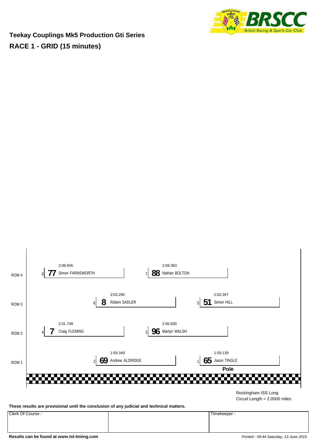

**Teekay Couplings Mk5 Production Gti Series RACE 1 - GRID (15 minutes)**



**These results are provisional until the conclusion of any judicial and technical matters.**

Clerk Of Course : Timekeeper :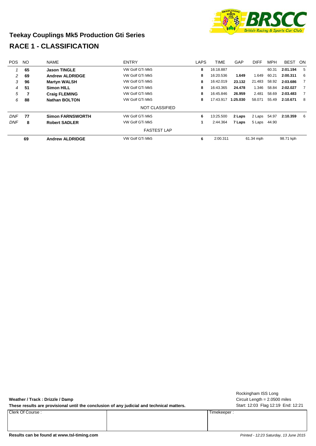

#### **Teekay Couplings Mk5 Production Gti Series RACE 1 - CLASSIFICATION**

| <b>POS</b> | <b>NO</b> | <b>NAME</b>             | <b>ENTRY</b>          | <b>LAPS</b> | <b>TIME</b> | GAP      | <b>DIFF</b> | <b>MPH</b> | <b>BEST</b> | ON.            |
|------------|-----------|-------------------------|-----------------------|-------------|-------------|----------|-------------|------------|-------------|----------------|
|            | 65        | <b>Jason TINGLE</b>     | VW Golf GTi Mk5       | 8           | 16:18.887   |          |             | 60.31      | 2:01.194    | - 5            |
| 2          | 69        | <b>Andrew ALDRIDGE</b>  | VW Golf GTi Mk5       | 8           | 16:20.536   | 1.649    | 1.649       | 60.21      | 2:00.311    | -6             |
| 3          | 96        | <b>Martyn WALSH</b>     | VW Golf GTi Mk5       | 8           | 16:42.019   | 23.132   | 21.483      | 58.92      | 2:03.686    | $\overline{7}$ |
| 4          | 51        | <b>Simon HILL</b>       | VW Golf GTi Mk5       | 8           | 16:43.365   | 24.478   | 1.346       | 58.84      | 2:02.027    | 7              |
| 5          |           | <b>Craig FLEMING</b>    | VW Golf GTi Mk5       | 8           | 16:45.846   | 26.959   | 2.481       | 58.69      | 2:03.483    | $\overline{7}$ |
| 6          | 88        | <b>Nathan BOLTON</b>    | VW Golf GTi Mk5       | 8           | 17:43.917   | 1:25.030 | 58.071      | 55.49      | 2:10.671    | 8              |
|            |           |                         | <b>NOT CLASSIFIED</b> |             |             |          |             |            |             |                |
| <b>DNF</b> | 77        | <b>Simon FARNSWORTH</b> | VW Golf GTi Mk5       | 6           | 13:25.500   | 2 Laps   | 2 Laps      | 54.97      | 2:10.359    | - 6            |
| <b>DNF</b> | 8         | <b>Robert SADLER</b>    | VW Golf GTi Mk5       |             | 2:44.364    | 7 Laps   | 5 Laps      | 44.90      |             |                |
|            |           |                         | <b>FASTEST LAP</b>    |             |             |          |             |            |             |                |
|            | 69        | <b>Andrew ALDRIDGE</b>  | VW Golf GTi Mk5       | 6           | 2:00.311    |          | 61.34 mph   |            | 98.71 kph   |                |

| Weather / Track : Drizzle / Damp |  |
|----------------------------------|--|
|----------------------------------|--|

These results are provisional until the conclusion of any judicial and technical matters. Start: 12:03 Flag 12:19 End: 12:21

Clerk Of Course : Timekeeper :

Circuit Length = 2.0500 miles Rockingham ISS Long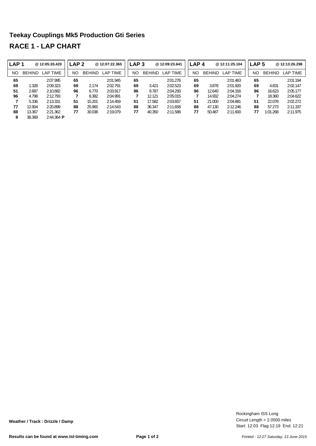### **Teekay Couplings Mk5 Production Gti Series RACE 1 - LAP CHART**

| l LAP 1 |               | @12:05:20.420       | LAP <sub>2</sub> |               | @12:07:22.365 | LAP <sub>3</sub> |               | @12:09:23.641 | LAP <sub>4</sub> |               | @12:11:25.104 | LAP 5 |    |               | @ 12:13:26.298 |
|---------|---------------|---------------------|------------------|---------------|---------------|------------------|---------------|---------------|------------------|---------------|---------------|-------|----|---------------|----------------|
| NO      | <b>BEHIND</b> | LAP TIME            | NΟ               | <b>BEHIND</b> | LAP TIME      | <b>NO</b>        | <b>BEHIND</b> | LAP TIME      | NO               | <b>BEHIND</b> | LAP TIME      | NO    |    | <b>BEHIND</b> | LAP TIME       |
| 65      |               | 2:07.995            | 65               |               | 2:01.945      | 65               |               | 2:01.276      | 65               |               | 2:01.463      | 65    |    |               | 2:01.194       |
| 69      | 1.328         | 2:09.323            | 69               | 2.174         | 2:02.791      | 69               | 3.421         | 2:02.523      | 69               | 3.878         | 2:01.920      |       | 69 | 4.831         | 2:02.147       |
| 51      | 2.687         | 2:10.682            | 96               | 6.770         | 2:03.917      | 96               | 9.787         | 2:04.293      | 96               | 12.640        | 2:04.316      |       | 96 | 16.623        | 2:05.177       |
| 96      | 4.798         | 2:12.793            |                  | 8.382         | 2:04.991      | 7                | 12.121        | 2:05.015      |                  | 14.932        | 2:04.274      |       |    | 18.360        | 2:04.622       |
| 7       | 5.336         | 2:13.331            | 51               | 15.201        | 2:14.459      | 51               | 17.582        | 2:03.657      | 51               | 21.000        | 2:04.881      | 51    |    | 22.078        | 2:02.272       |
| 77      | 12.904        | 2:20.899            | 88               | 25.965        | 2:14.543      | 88               | 36.347        | 2:11.658      | 88               | 47.130        | 2:12.246      |       | 88 | 57.273        | 2:11.337       |
| 88      | 13.367        | 2:21.362            | 77               | 30.038        | 2:19.079      | 77               | 40.350        | 2:11.588      | 77               | 50.487        | 2:11.600      | 77    |    | 1:01.268      | 2:11.975       |
| 8       | 36.369        | $2:44.364$ <b>P</b> |                  |               |               |                  |               |               |                  |               |               |       |    |               |                |

Start: 12:03 Flag 12:19 End: 12:21 Circuit Length = 2.0500 miles Rockingham ISS Long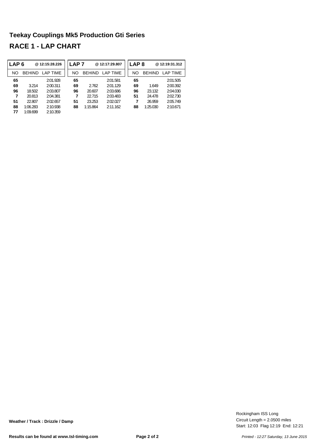### **Teekay Couplings Mk5 Production Gti Series RACE 1 - LAP CHART**

| LAP <sub>6</sub> |               | @12:15:28.226 | ∟AP 7 |               | @12:17:29.807   | LAP <sub>8</sub> |               | @12:19:31.312 |
|------------------|---------------|---------------|-------|---------------|-----------------|------------------|---------------|---------------|
| NO               | <b>BEHIND</b> | LAP TIME      | NΟ    | <b>BEHIND</b> | <b>LAP TIME</b> | NO               | <b>BEHIND</b> | I AP TIMF     |
| 65               |               | 2:01.928      | 65    |               | 2:01.581        | 65               |               | 2:01.505      |
| 69               | 3.214         | 2:00.311      | 69    | 2.762         | 2:01.129        | 69               | 1.649         | 2:00.392      |
| 96               | 18.502        | 2:03.807      | 96    | 20.607        | 2:03.686        | 96               | 23.132        | 2:04.030      |
| 7                | 20.813        | 2:04.381      | 7     | 22.715        | 2:03.483        | 51               | 24.478        | 2:02.730      |
| 51               | 22.807        | 2:02.657      | 51    | 23.253        | 2:02.027        | 7                | 26.959        | 2:05.749      |
| 88               | 1:06.283      | 2:10.938      | 88    | 1:15.864      | 2.11162         | 88               | 1:25.030      | 2:10.671      |
| 77               | 1:09.699      | 2:10.359      |       |               |                 |                  |               |               |

Start: 12:03 Flag 12:19 End: 12:21 Circuit Length = 2.0500 miles Rockingham ISS Long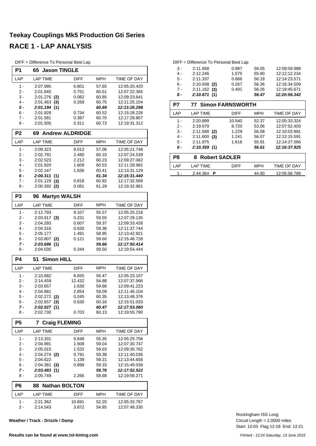#### **Teekay Couplings Mk5 Production Gti Series RACE 1 - LAP ANALYSIS**

DIFF = Difference To Personal Best Lap

| P <sub>1</sub> | <b>Jason TINGLE</b><br>65    |                 |                |                              |
|----------------|------------------------------|-----------------|----------------|------------------------------|
| LAP            | LAP TIME                     | DIFF            | MPH            | TIME OF DAY                  |
| 1 -            | 2:07.995                     | 6.801           | 57.65          | 12:05:20.420                 |
| 2 -            | 2:01.945                     | 0.751           | 60.51          | 12:07:22.365                 |
| 3 -            | $2:01.276$ (2)               | 0.082           | 60.85          | 12:09:23.641                 |
| 4 -            | 2:01.463<br>(3)              | 0.269           | 60.75          | 12:11:25.104                 |
| 5 -            | 2:01.194 (1)                 |                 | 60.89          | 12:13:26.298                 |
| 6 -            | 2:01.928                     | 0.734           | 60.52          | 12:15:28.226                 |
| $7 -$          | 2:01.581                     | 0.387           | 60.70          | 12:17:29.807                 |
| 8 -            | 2:01.505                     | 0.311           | 60.73          | 12:19:31.312                 |
| P <sub>2</sub> | <b>Andrew ALDRIDGE</b><br>69 |                 |                |                              |
| LAP            | <b>LAP TIME</b>              | DIFF            | <b>MPH</b>     | TIME OF DAY                  |
| $1 -$          | 2:09.323                     | 9.012           | 57.06          | 12:05:21.748                 |
| 2 -            | 2:02.791                     | 2.480           | 60.10          | 12:07:24.539                 |
| 3 -            | 2:02.523                     | 2.212           | 60.23          | 12:09:27.062                 |
| 4 -            | 2:01.920                     | 1.609           | 60.53          | 12:11:28.982                 |
| 5 -            | 2:02.147                     | 1.836           | 60.41          | 12:13:31.129                 |
| 6 -            | 2:00.311(1)                  |                 | 61.34          | 12:15:31.440                 |
| 7 -            | 2:01.129<br>(3)              | 0.818           | 60.92          | 12:17:32.569                 |
| 8 -            | $2:00.392$ (2)               | 0.081           | 61.29          | 12:19:32.961                 |
| P <sub>3</sub> | <b>Martyn WALSH</b><br>96    |                 |                |                              |
| LAP            | <b>LAP TIME</b>              | DIFF            | MPH            | TIME OF DAY                  |
| 1 -            | 2:12.793                     | 9.107           | 55.57          | 12:05:25.218                 |
| $2 -$          | $2:03.917$ (3)               | 0.231           | 59.55          | 12:07:29.135                 |
| 3 -            | 2:04.293                     | 0.607           | 59.37          | 12:09:33.428                 |
| 4 -            | 2:04.316                     | 0.630           | 59.36          | 12:11:37.744                 |
| 5 -            | 2:05.177                     | 1.491           | 58.95          | 12:13:42.921                 |
| 6 -            | $2:03.807$ (2)               | 0.121           | 59.60          | 12:15:46.728                 |
| 7 -<br>8 -     | 2:03.686 (1)<br>2:04.030     | 0.344           | 59.66<br>59.50 | 12:17:50.414<br>12:19:54.444 |
| <b>P4</b>      | <b>Simon HILL</b><br>51      |                 |                |                              |
| LAP            | <b>LAP TIME</b>              | <b>DIFF</b>     | MPH            | TIME OF DAY                  |
| 1 -            | 2:10.682                     | 8.655           | 56.47          | 12:05:23.107                 |
| 2 -            | 2:14.459                     | 12.432          | 54.88          | 12:07:37.566                 |
| 3 -            | 2:03.657                     | 1.630           | 59.68          | 12:09:41.223                 |
| 4 -            | 2:04.881                     | 2.854           | 59.09          | 12:11:46.104                 |
| 5 -            | $2:02.272$ (2)               | 0.245           | 60.35          | 12:13:48.376                 |
| 6 -            | $2:02.657$ (3)               | 0.630           | 60.16          | 12:15:51.033                 |
| 7 -            | 2:02.027(1)                  |                 | 60.47          | 12:17:53.060                 |
| 8 -            | 2:02.730                     | 0.703           | 60.13          | 12:19:55.790                 |
| P5             | <b>Craig FLEMING</b><br>7    |                 |                |                              |
| LAP            | <b>LAP TIME</b>              | DIFF            | <b>MPH</b>     | TIME OF DAY                  |
| 1 -            | 2:13.331                     | 9.848           | 55.35          | 12:05:25.756                 |
| $2 -$          | 2:04.991                     | 1.508           | 59.04          | 12:07:30.747                 |
| 3 -            | 2:05.015                     | 1.532           | 59.03          | 12:09:35.762                 |
| 4 -            | $2:04.274$ (2)               | 0.791           | 59.38          | 12:11:40.036                 |
| 5 -            | 2:04.622                     | 1.139           | 59.21          | 12:13:44.658                 |
| 6 -            | 2:04.381<br>(3)              | 0.898           | 59.33          | 12:15:49.039                 |
| 7 -<br>8 -     | 2:03.483(1)<br>2:05.749      | 2.266           | 59.76<br>58.68 | 12:17:52.522<br>12:19:58.271 |
|                | <b>Nathan BOLTON</b>         |                 |                |                              |
| P <sub>6</sub> | 88                           |                 |                |                              |
| LAP<br>1 -     | LAP TIME<br>2:21.362         | <b>DIFF</b>     | MPH<br>52.20   | TIME OF DAY<br>12:05:33.787  |
| 2 -            | 2:14.543                     | 10.691<br>3.872 | 54.85          | 12:07:48.330                 |

**Weather / Track : Drizzle / Damp**

#### DIFF = Difference To Personal Best Lap

| 3 -   | 2:11.658       | 0.987 | 56.05 | 12:09:59.988 |
|-------|----------------|-------|-------|--------------|
| 4 -   | 2:12.246       | 1.575 | 55.80 | 12:12:12.234 |
| $5 -$ | 2:11.337       | 0.666 | 56.19 | 12:14:23.571 |
| ճ -   | $2:10.938$ (2) | 0.267 | 56.36 | 12:16:34.509 |
| 7 -   | $2:11.162$ (3) | 0.491 | 56.26 | 12:18:45.671 |
| 8 -   | 2:10.671(1)    |       | 56.47 | 12:20:56.342 |

| P7    | <b>77 Simon FARNSWORTH</b> |             |            |              |  |  |  |  |  |  |  |  |
|-------|----------------------------|-------------|------------|--------------|--|--|--|--|--|--|--|--|
| LAP   | <b>LAP TIME</b>            | <b>DIFF</b> | <b>MPH</b> | TIME OF DAY  |  |  |  |  |  |  |  |  |
| 1 -   | 2:20.899                   | 10.540      | 52.37      | 12:05:33.324 |  |  |  |  |  |  |  |  |
| 2.    | 2:19.079                   | 8.720       | 53.06      | 12:07:52.403 |  |  |  |  |  |  |  |  |
| 3 -   | $2:11.588$ (2)             | 1.229       | 56.08      | 12:10:03.991 |  |  |  |  |  |  |  |  |
| $4 -$ | 2:11.600<br>(3)            | 1.241       | 56.07      | 12:12:15.591 |  |  |  |  |  |  |  |  |
| $5 -$ | 2:11.975                   | 1.616       | 55.91      | 12:14:27.566 |  |  |  |  |  |  |  |  |
| 6 -   | 2:10.359(1)                |             | 56.61      | 12:16:37.925 |  |  |  |  |  |  |  |  |
| P8    | 8 Robert SADLER            |             |            |              |  |  |  |  |  |  |  |  |
| I AP  | <b>LAP TIME</b>            | <b>DIFF</b> | <b>MPH</b> | TIME OF DAY  |  |  |  |  |  |  |  |  |
|       | 2:44.364<br>Р              |             | 44.90      | 12:05:56.789 |  |  |  |  |  |  |  |  |

Start: 12:03 Flag 12:19 End: 12:21 Circuit Length = 2.0500 miles Rockingham ISS Long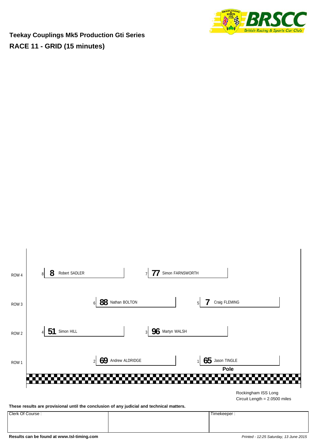

**Teekay Couplings Mk5 Production Gti Series RACE 11 - GRID (15 minutes)**



**Results can be found at www.tsl-timing.com** *Printed - 12:25 Saturday, 13 June 2015*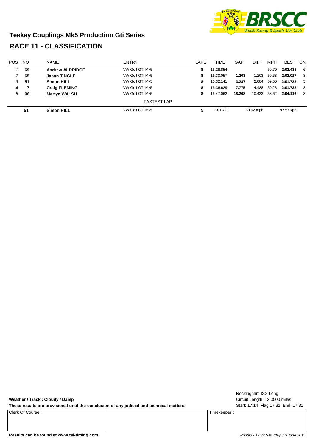

#### **Teekay Couplings Mk5 Production Gti Series RACE 11 - CLASSIFICATION**

| <b>POS</b> | <b>NO</b> | <b>NAME</b>            | <b>ENTRY</b>       | LAPS | TIME      | GAP    | DIFF      | <b>MPH</b> | <b>BEST</b> | - ON |
|------------|-----------|------------------------|--------------------|------|-----------|--------|-----------|------------|-------------|------|
|            | 69        | <b>Andrew ALDRIDGE</b> | VW Golf GTi Mk5    | 8    | 16:28.854 |        |           | 59.70      | 2:02.435    | 6    |
| 2          | 65        | <b>Jason TINGLE</b>    | VW Golf GTi Mk5    | 8    | 16:30.057 | 1.203  | 1.203     | 59.63      | 2:02.017    | -8   |
| 3          | 51        | <b>Simon HILL</b>      | VW Golf GTi Mk5    | 8    | 16:32.141 | 3.287  | 2.084     | 59.50      | 2:01.723    | - 5  |
| 4          |           | <b>Craig FLEMING</b>   | VW Golf GTi Mk5    | 8    | 16:36.629 | 7.775  | 4.488     | 59.23      | 2:01.738    | - 8  |
| 5          | 96        | <b>Martyn WALSH</b>    | VW Golf GTi Mk5    | 8    | 16:47.062 | 18.208 | 10.433    | 58.62      | 2:04.116    | - 3  |
|            |           |                        | <b>FASTEST LAP</b> |      |           |        |           |            |             |      |
|            | 51        | <b>Simon HILL</b>      | VW Golf GTi Mk5    | 5    | 2:01.723  |        | 60.62 mph |            | 97.57 kph   |      |

| Weather / Track : Cloudy / Damp                     |  |
|-----------------------------------------------------|--|
| These requite are previoienal until the espectrator |  |

These results are provisional until the conclusion of any judicial and technical matters. Start: 17:14 Flag 17:31 End: 17:31

Clerk Of Course : Timekeeper :

Circuit Length = 2.0500 miles Rockingham ISS Long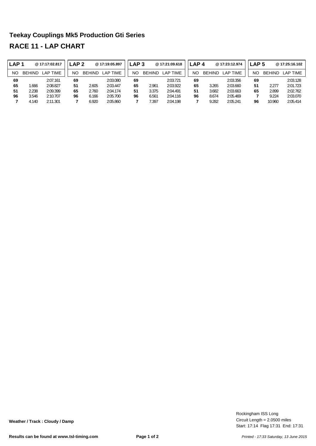### **Teekay Couplings Mk5 Production Gti Series RACE 11 - LAP CHART**

| <b>LAP1</b> |               | @17:17:02.817 |    | LAP 2         | @17:19:05.897 | <b>LAP 3</b> |               | @17:21:09.618 | LAP <sub>4</sub> |               | @17:23:12.974 | LAP 5 |               | @ 17:25:16.102 |
|-------------|---------------|---------------|----|---------------|---------------|--------------|---------------|---------------|------------------|---------------|---------------|-------|---------------|----------------|
| NO.         | <b>BEHIND</b> | LAP TIME      | NΟ | <b>BEHIND</b> | LAP TIME      | NO           | <b>BEHIND</b> | LAP TIME      | NΟ               | <b>BEHIND</b> | LAP TIME      | ΝC    | <b>BEHIND</b> | LAP TIME       |
| 69          |               | 2:07.161      | 69 |               | 2:03.080      | 69           |               | 2:03.721      | 69               |               | 2:03.356      | 69    |               | 2:03.128       |
| 65          | .666          | 2:08.827      | 51 | 2.605         | 2:03.447      | 65           | 2.961         | 2:03.922      | 65               | 3.265         | 2:03.660      | 51    | 2.277         | 2:01.723       |
| 51          | 2.238         | 2:09.399      | 65 | 2.760         | 2:04.174      | 51           | 3.375         | 2:04.491      | 51               | 3.682         | 2:03.663      | 65    | 2.899         | 2:02.762       |
| 96          | 3.546         | 2:10.707      | 96 | 6.166         | 2:05.700      | 96           | 6.561         | 2:04.116      | 96               | 8.674         | 2:05.469      |       | 9.224         | 2:03.070       |
|             | 4.140         | 2:11.301      |    | 6.920         | 2:05.860      |              | /.397         | 2:04.198      |                  | 9.282         | 2:05.241      | 96    | 10.960        | 2:05.414       |

Start: 17:14 Flag 17:31 End: 17:31 Circuit Length = 2.0500 miles Rockingham ISS Long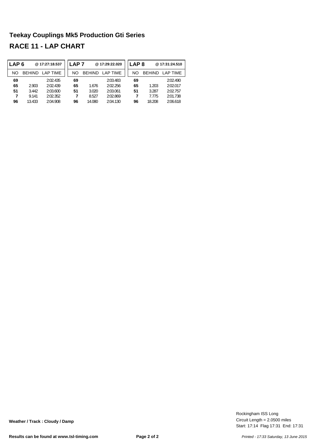#### **Teekay Couplings Mk5 Production Gti Series RACE 11 - LAP CHART**

| LAP <sub>6</sub> |               | @17:27:18.537   | .AP 7 |               | @17:29:22.020 | LAP 8 |               | @17:31:24.510 |
|------------------|---------------|-----------------|-------|---------------|---------------|-------|---------------|---------------|
| NO               | <b>BEHIND</b> | <b>LAP TIME</b> | NΟ    | <b>BEHIND</b> | LAP TIME      | NΟ    | <b>BEHIND</b> | LAP TIME      |
| 69               |               | 2:02.435        | 69    |               | 2:03.483      | 69    |               | 2:02.490      |
| 65               | 2.903         | 2:02.439        | 65    | 1.676         | 2:02.256      | 65    | 1.203         | 2:02.017      |
| 51               | 3.442         | 2:03.600        | 51    | 3.020         | 2:03.061      | 51    | 3.287         | 2:02.757      |
| 7                | 9.141         | 2:02.352        |       | 8.527         | 2:02.869      |       | 7.775         | 2:01.738      |
| 96               | 13.433        | 2:04.908        | 96    | 14.080        | 2:04.130      | 96    | 18.208        | 2:06.618      |

Start: 17:14 Flag 17:31 End: 17:31 Circuit Length = 2.0500 miles Rockingham ISS Long